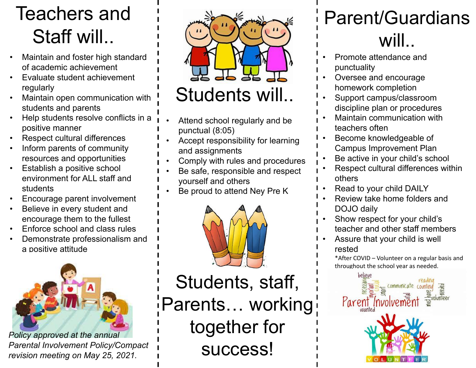# Teachers and Staff will..

- Maintain and foster high standard of academic achievement
- Evaluate student achievement regularly
- Maintain open communication with students and parents
- Help students resolve conflicts in a positive manner
- Respect cultural differences
- Inform parents of community resources and opportunities
- Establish a positive school environment for ALL staff and students
- Encourage parent involvement
- Believe in every student and encourage them to the fullest
- Enforce school and class rules
- Demonstrate professionalism and a positive attitude



*Policy approved at the annual Parental Involvement Policy/Compact revision meeting on May 25, 2021.* 



- Attend school regularly and be punctual (8:05)
- Accept responsibility for learning and assignments
- Comply with rules and procedures
- Be safe, responsible and respect yourself and others
- Be proud to attend Ney Pre K



Students, staff, Parents… working together for success!

## Parent/Guardians will..

- Promote attendance and punctuality
- Oversee and encourage homework completion
- Support campus/classroom discipline plan or procedures
- Maintain communication with teachers often
- Become knowledgeable of Campus Improvement Plan
- Be active in your child's school
- Respect cultural differences within others
- Read to your child DAILY
- Review take home folders and DOJO daily
- Show respect for your child's teacher and other staff members
- Assure that your child is well rested

\*After COVID – Volunteer on a regular basis and throughout the school year as needed.